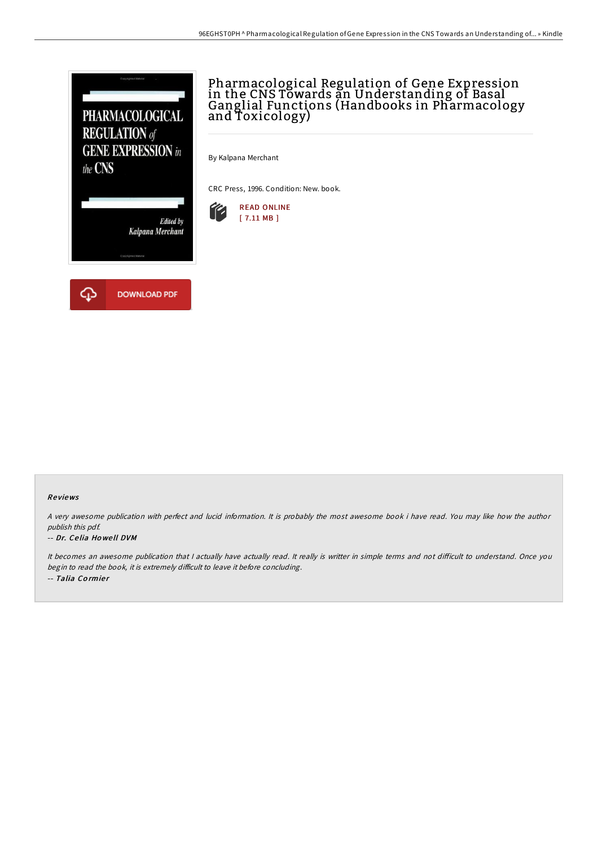

# Pharmacological Regulation of Gene Expression in the CNS Towards an Understanding of Basal Ganglial Functions (Handbooks in Pharmacology and Toxicology)

By Kalpana Merchant

CRC Press, 1996. Condition: New. book.



## Re views

A very awesome publication with perfect and lucid information. It is probably the most awesome book i have read. You may like how the author publish this pdf.

### -- Dr. Ce lia Ho we ll DVM

It becomes an awesome publication that I actually have actually read. It really is writter in simple terms and not difficult to understand. Once you begin to read the book, it is extremely difficult to leave it before concluding. -- Talia Cormier